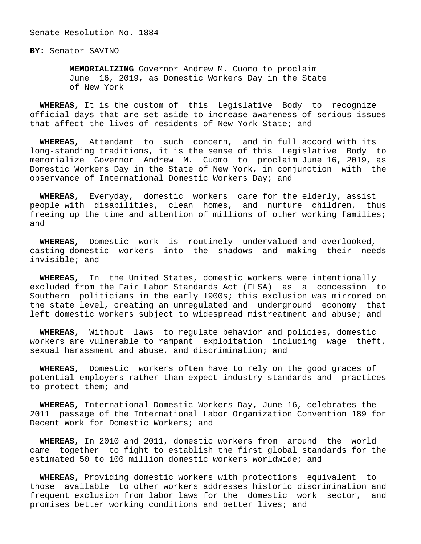Senate Resolution No. 1884

**BY:** Senator SAVINO

 **MEMORIALIZING** Governor Andrew M. Cuomo to proclaim June 16, 2019, as Domestic Workers Day in the State of New York

 **WHEREAS,** It is the custom of this Legislative Body to recognize official days that are set aside to increase awareness of serious issues that affect the lives of residents of New York State; and

 **WHEREAS,** Attendant to such concern, and in full accord with its long-standing traditions, it is the sense of this Legislative Body to memorialize Governor Andrew M. Cuomo to proclaim June 16, 2019, as Domestic Workers Day in the State of New York, in conjunction with the observance of International Domestic Workers Day; and

 **WHEREAS,** Everyday, domestic workers care for the elderly, assist people with disabilities, clean homes, and nurture children, thus freeing up the time and attention of millions of other working families; and

 **WHEREAS,** Domestic work is routinely undervalued and overlooked, casting domestic workers into the shadows and making their needs invisible; and

 **WHEREAS,** In the United States, domestic workers were intentionally excluded from the Fair Labor Standards Act (FLSA) as a concession to Southern politicians in the early 1900s; this exclusion was mirrored on the state level, creating an unregulated and underground economy that left domestic workers subject to widespread mistreatment and abuse; and

 **WHEREAS,** Without laws to regulate behavior and policies, domestic workers are vulnerable to rampant exploitation including wage theft, sexual harassment and abuse, and discrimination; and

 **WHEREAS,** Domestic workers often have to rely on the good graces of potential employers rather than expect industry standards and practices to protect them; and

 **WHEREAS,** International Domestic Workers Day, June 16, celebrates the 2011 passage of the International Labor Organization Convention 189 for Decent Work for Domestic Workers; and

 **WHEREAS,** In 2010 and 2011, domestic workers from around the world came together to fight to establish the first global standards for the estimated 50 to 100 million domestic workers worldwide; and

 **WHEREAS,** Providing domestic workers with protections equivalent to those available to other workers addresses historic discrimination and frequent exclusion from labor laws for the domestic work sector, and promises better working conditions and better lives; and